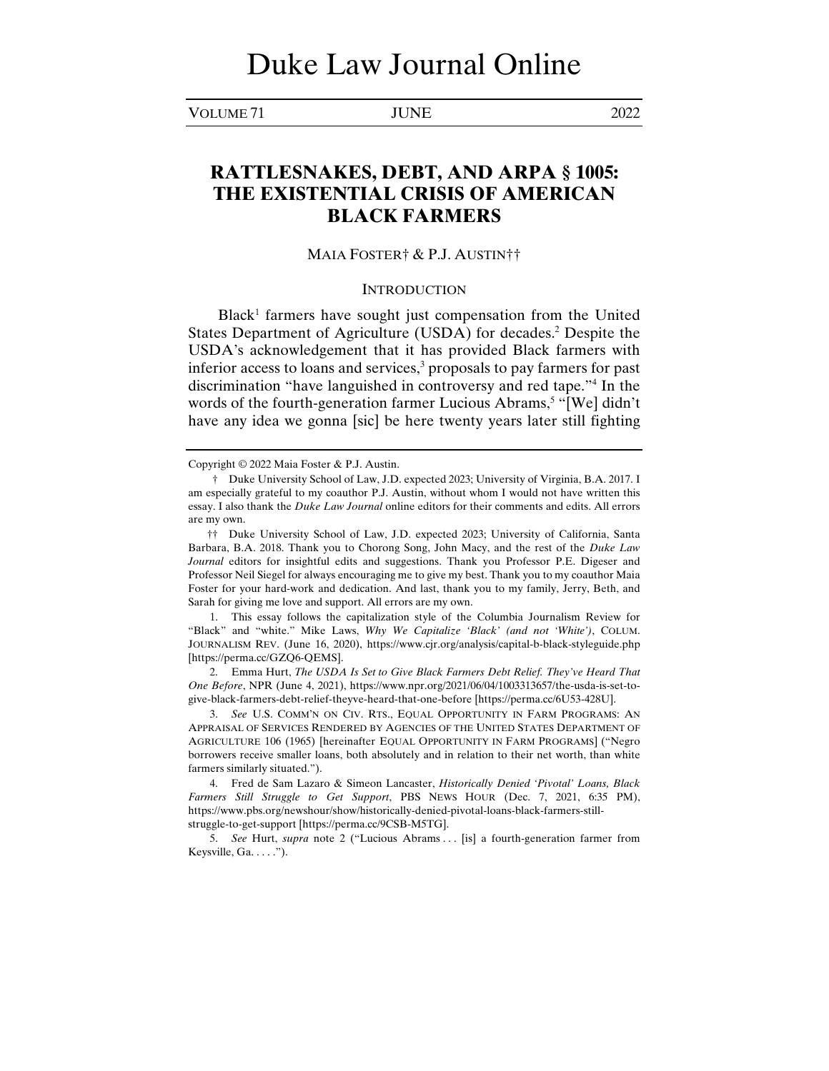VOLUME 71 JUNE 2022

# **RATTLESNAKES, DEBT, AND ARPA § 1005: THE EXISTENTIAL CRISIS OF AMERICAN BLACK FARMERS**

## MAIA FOSTER† & P.J. AUSTIN††

#### **INTRODUCTION**

Black<sup>1</sup> farmers have sought just compensation from the United States Department of Agriculture (USDA) for decades.<sup>2</sup> Despite the USDA's acknowledgement that it has provided Black farmers with inferior access to loans and services,<sup>3</sup> proposals to pay farmers for past discrimination "have languished in controversy and red tape."4 In the words of the fourth-generation farmer Lucious Abrams,<sup>5</sup> "[We] didn't have any idea we gonna [sic] be here twenty years later still fighting

 1. This essay follows the capitalization style of the Columbia Journalism Review for "Black" and "white." Mike Laws, *Why We Capitalize 'Black' (and not 'White')*, COLUM. JOURNALISM REV. (June 16, 2020), https://www.cjr.org/analysis/capital-b-black-styleguide.php [https://perma.cc/GZQ6-QEMS].

 2. Emma Hurt, *The USDA Is Set to Give Black Farmers Debt Relief. They've Heard That One Before*, NPR (June 4, 2021), https://www.npr.org/2021/06/04/1003313657/the-usda-is-set-togive-black-farmers-debt-relief-theyve-heard-that-one-before [https://perma.cc/6U53-428U].

 3. *See* U.S. COMM'N ON CIV. RTS., EQUAL OPPORTUNITY IN FARM PROGRAMS: AN APPRAISAL OF SERVICES RENDERED BY AGENCIES OF THE UNITED STATES DEPARTMENT OF AGRICULTURE 106 (1965) [hereinafter EQUAL OPPORTUNITY IN FARM PROGRAMS] ("Negro borrowers receive smaller loans, both absolutely and in relation to their net worth, than white farmers similarly situated.").

 4. Fred de Sam Lazaro & Simeon Lancaster, *Historically Denied 'Pivotal' Loans, Black Farmers Still Struggle to Get Support*, PBS NEWS HOUR (Dec. 7, 2021, 6:35 PM), https://www.pbs.org/newshour/show/historically-denied-pivotal-loans-black-farmers-stillstruggle-to-get-support [https://perma.cc/9CSB-M5TG].

 5. *See* Hurt, *supra* note 2 ("Lucious Abrams . . . [is] a fourth-generation farmer from Keysville, Ga. . . . .").

Copyright © 2022 Maia Foster & P.J. Austin.

 <sup>†</sup> Duke University School of Law, J.D. expected 2023; University of Virginia, B.A. 2017. I am especially grateful to my coauthor P.J. Austin, without whom I would not have written this essay. I also thank the *Duke Law Journal* online editors for their comments and edits. All errors are my own.

 <sup>††</sup> Duke University School of Law, J.D. expected 2023; University of California, Santa Barbara, B.A. 2018. Thank you to Chorong Song, John Macy, and the rest of the *Duke Law Journal* editors for insightful edits and suggestions. Thank you Professor P.E. Digeser and Professor Neil Siegel for always encouraging me to give my best. Thank you to my coauthor Maia Foster for your hard-work and dedication. And last, thank you to my family, Jerry, Beth, and Sarah for giving me love and support. All errors are my own.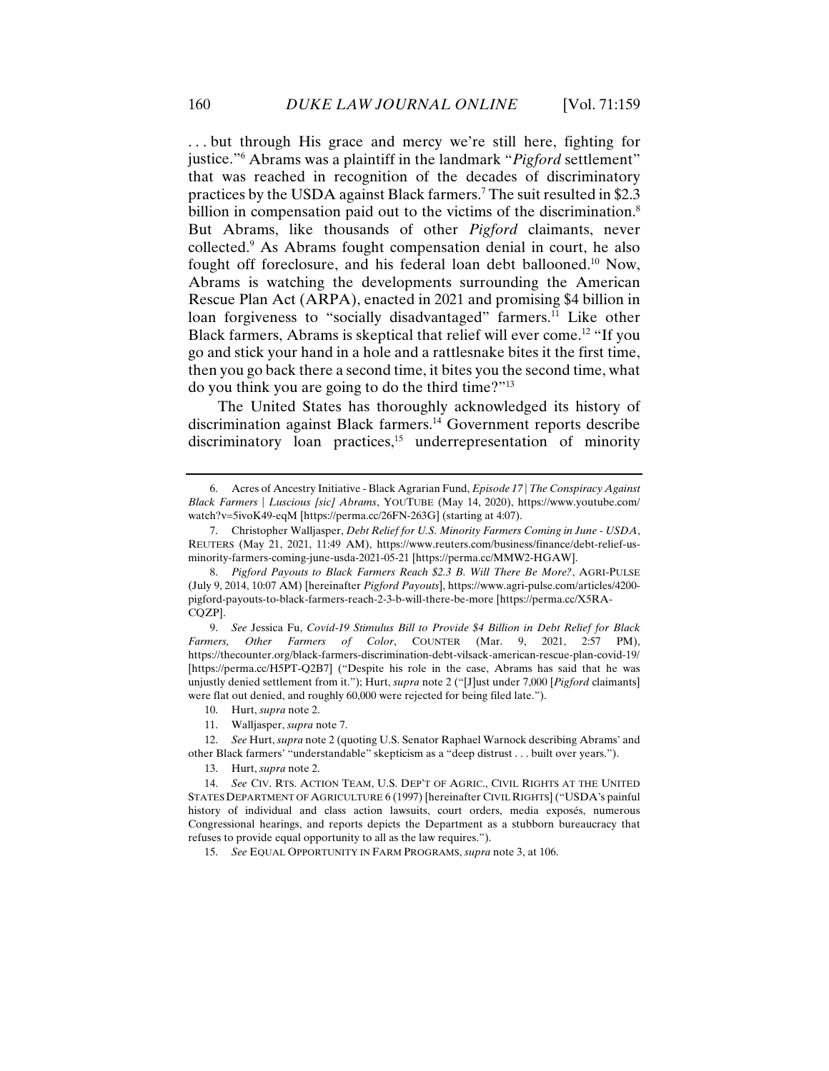. . . but through His grace and mercy we're still here, fighting for justice."6 Abrams was a plaintiff in the landmark "*Pigford* settlement" that was reached in recognition of the decades of discriminatory practices by the USDA against Black farmers.7 The suit resulted in \$2.3 billion in compensation paid out to the victims of the discrimination.<sup>8</sup> But Abrams, like thousands of other *Pigford* claimants, never collected.9 As Abrams fought compensation denial in court, he also fought off foreclosure, and his federal loan debt ballooned.10 Now, Abrams is watching the developments surrounding the American Rescue Plan Act (ARPA), enacted in 2021 and promising \$4 billion in loan forgiveness to "socially disadvantaged" farmers.<sup>11</sup> Like other Black farmers, Abrams is skeptical that relief will ever come.12 "If you go and stick your hand in a hole and a rattlesnake bites it the first time, then you go back there a second time, it bites you the second time, what do you think you are going to do the third time?"13

The United States has thoroughly acknowledged its history of discrimination against Black farmers.14 Government reports describe discriminatory loan practices, $15$  underrepresentation of minority

 9. *See* Jessica Fu, *Covid-19 Stimulus Bill to Provide \$4 Billion in Debt Relief for Black Farmers, Other Farmers of Color*, COUNTER (Mar. 9, 2021, 2:57 PM), https://thecounter.org/black-farmers-discrimination-debt-vilsack-american-rescue-plan-covid-19/ [https://perma.cc/H5PT-Q2B7] ("Despite his role in the case, Abrams has said that he was unjustly denied settlement from it."); Hurt, *supra* note 2 ("[J]ust under 7,000 [*Pigford* claimants] were flat out denied, and roughly 60,000 were rejected for being filed late.").

11. Walljasper, *supra* note 7.

 12. *See* Hurt, *supra* note 2 (quoting U.S. Senator Raphael Warnock describing Abrams' and other Black farmers' "understandable" skepticism as a "deep distrust . . . built over years.").

13. Hurt, *supra* note 2.

15. *See* EQUAL OPPORTUNITY IN FARM PROGRAMS, *supra* note 3, at 106.

 <sup>6.</sup> Acres of Ancestry Initiative - Black Agrarian Fund, *Episode 17 | The Conspiracy Against Black Farmers | Luscious [sic] Abrams*, YOUTUBE (May 14, 2020), https://www.youtube.com/ watch?v=5ivoK49-eqM [https://perma.cc/26FN-263G] (starting at 4:07).

 <sup>7.</sup> Christopher Walljasper, *Debt Relief for U.S. Minority Farmers Coming in June - USDA*, REUTERS (May 21, 2021, 11:49 AM), https://www.reuters.com/business/finance/debt-relief-usminority-farmers-coming-june-usda-2021-05-21 [https://perma.cc/MMW2-HGAW].

 <sup>8.</sup> *Pigford Payouts to Black Farmers Reach \$2.3 B. Will There Be More?*, AGRI-PULSE (July 9, 2014, 10:07 AM) [hereinafter *Pigford Payouts*], https://www.agri-pulse.com/articles/4200 pigford-payouts-to-black-farmers-reach-2-3-b-will-there-be-more [https://perma.cc/X5RA-CQZP].

 <sup>10.</sup> Hurt, *supra* note 2.

 <sup>14.</sup> *See* CIV. RTS. ACTION TEAM, U.S. DEP'T OF AGRIC., CIVIL RIGHTS AT THE UNITED STATES DEPARTMENT OF AGRICULTURE 6 (1997) [hereinafter CIVIL RIGHTS] ("USDA's painful history of individual and class action lawsuits, court orders, media exposés, numerous Congressional hearings, and reports depicts the Department as a stubborn bureaucracy that refuses to provide equal opportunity to all as the law requires.").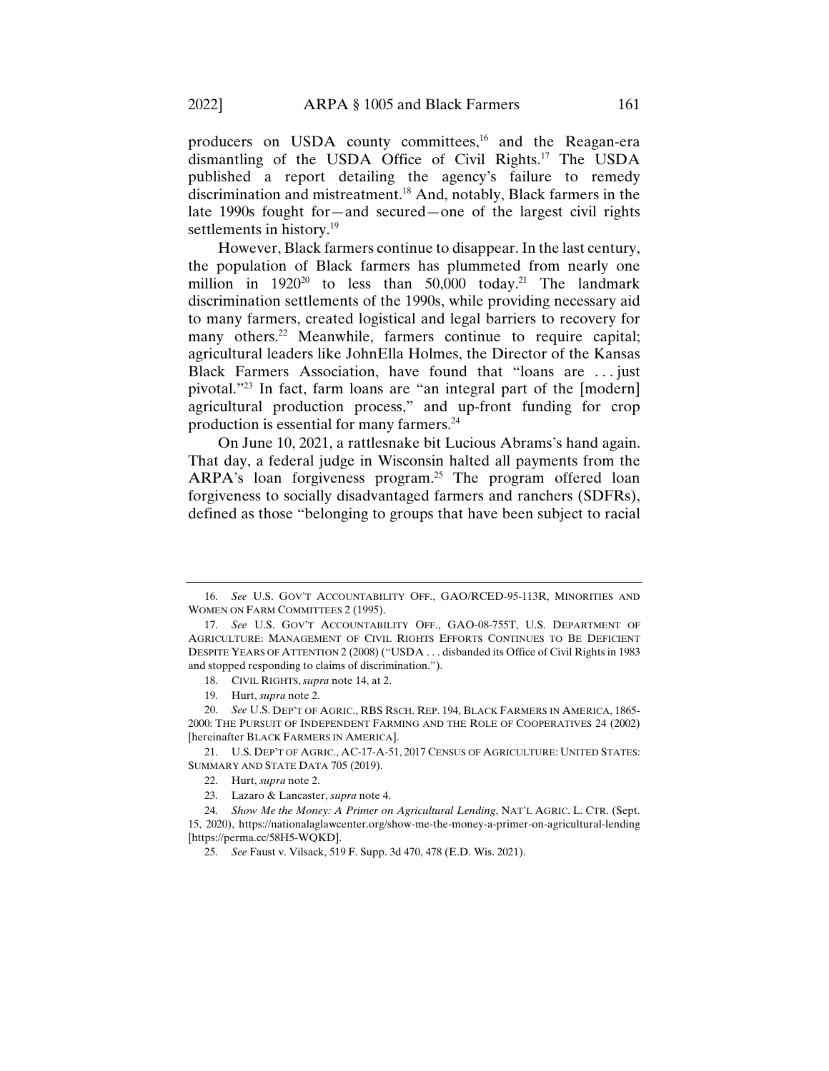producers on USDA county committees,<sup>16</sup> and the Reagan-era dismantling of the USDA Office of Civil Rights.17 The USDA published a report detailing the agency's failure to remedy discrimination and mistreatment.18 And, notably, Black farmers in the late 1990s fought for—and secured—one of the largest civil rights settlements in history.<sup>19</sup>

However, Black farmers continue to disappear. In the last century, the population of Black farmers has plummeted from nearly one million in  $1920^{20}$  to less than  $50,000$  today.<sup>21</sup> The landmark discrimination settlements of the 1990s, while providing necessary aid to many farmers, created logistical and legal barriers to recovery for many others.<sup>22</sup> Meanwhile, farmers continue to require capital; agricultural leaders like JohnElla Holmes, the Director of the Kansas Black Farmers Association, have found that "loans are . . . just pivotal."23 In fact, farm loans are "an integral part of the [modern] agricultural production process," and up-front funding for crop production is essential for many farmers.<sup>24</sup>

On June 10, 2021, a rattlesnake bit Lucious Abrams's hand again. That day, a federal judge in Wisconsin halted all payments from the ARPA's loan forgiveness program.25 The program offered loan forgiveness to socially disadvantaged farmers and ranchers (SDFRs), defined as those "belonging to groups that have been subject to racial

 21. U.S. DEP'T OF AGRIC., AC-17-A-51, 2017 CENSUS OF AGRICULTURE: UNITED STATES: SUMMARY AND STATE DATA 705 (2019).

 <sup>16.</sup> *See* U.S. GOV'T ACCOUNTABILITY OFF., GAO/RCED-95-113R, MINORITIES AND WOMEN ON FARM COMMITTEES 2 (1995).

 <sup>17.</sup> *See* U.S. GOV'T ACCOUNTABILITY OFF., GAO-08-755T, U.S. DEPARTMENT OF AGRICULTURE: MANAGEMENT OF CIVIL RIGHTS EFFORTS CONTINUES TO BE DEFICIENT DESPITE YEARS OF ATTENTION 2 (2008) ("USDA . . . disbanded its Office of Civil Rights in 1983 and stopped responding to claims of discrimination.").

 <sup>18.</sup> CIVIL RIGHTS, *supra* note 14, at 2.

 <sup>19.</sup> Hurt, *supra* note 2.

 <sup>20.</sup> *See* U.S. DEP'T OF AGRIC., RBS RSCH. REP. 194, BLACK FARMERS IN AMERICA, 1865- 2000: THE PURSUIT OF INDEPENDENT FARMING AND THE ROLE OF COOPERATIVES 24 (2002) [hereinafter BLACK FARMERS IN AMERICA].

 <sup>22.</sup> Hurt, *supra* note 2.

 <sup>23.</sup> Lazaro & Lancaster, *supra* note 4.

 <sup>24.</sup> *Show Me the Money: A Primer on Agricultural Lending*, NAT'L AGRIC. L. CTR. (Sept. 15, 2020), https://nationalaglawcenter.org/show-me-the-money-a-primer-on-agricultural-lending [https://perma.cc/58H5-WQKD].

 <sup>25.</sup> *See* Faust v. Vilsack, 519 F. Supp. 3d 470, 478 (E.D. Wis. 2021).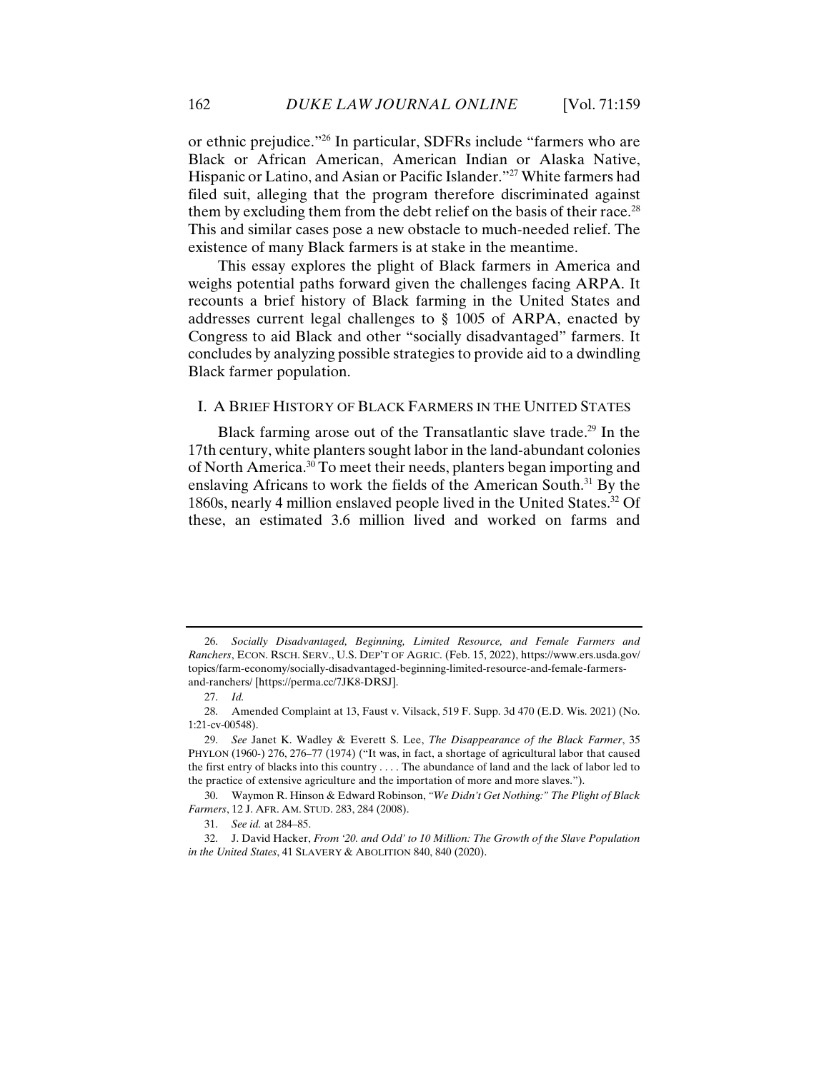or ethnic prejudice."26 In particular, SDFRs include "farmers who are Black or African American, American Indian or Alaska Native, Hispanic or Latino, and Asian or Pacific Islander."27 White farmers had filed suit, alleging that the program therefore discriminated against them by excluding them from the debt relief on the basis of their race.<sup>28</sup> This and similar cases pose a new obstacle to much-needed relief. The existence of many Black farmers is at stake in the meantime.

This essay explores the plight of Black farmers in America and weighs potential paths forward given the challenges facing ARPA. It recounts a brief history of Black farming in the United States and addresses current legal challenges to § 1005 of ARPA, enacted by Congress to aid Black and other "socially disadvantaged" farmers. It concludes by analyzing possible strategies to provide aid to a dwindling Black farmer population.

#### I. A BRIEF HISTORY OF BLACK FARMERS IN THE UNITED STATES

Black farming arose out of the Transatlantic slave trade.<sup>29</sup> In the 17th century, white planters sought labor in the land-abundant colonies of North America.30 To meet their needs, planters began importing and enslaving Africans to work the fields of the American South.31 By the 1860s, nearly 4 million enslaved people lived in the United States.32 Of these, an estimated 3.6 million lived and worked on farms and

 30. Waymon R. Hinson & Edward Robinson, *"We Didn't Get Nothing:" The Plight of Black Farmers*, 12 J. AFR. AM. STUD. 283, 284 (2008).

31. *See id.* at 284–85.

 32. J. David Hacker, *From '20. and Odd' to 10 Million: The Growth of the Slave Population in the United States*, 41 SLAVERY & ABOLITION 840, 840 (2020).

 <sup>26.</sup> *Socially Disadvantaged, Beginning, Limited Resource, and Female Farmers and Ranchers*, ECON. RSCH. SERV., U.S. DEP'T OF AGRIC. (Feb. 15, 2022), https://www.ers.usda.gov/ topics/farm-economy/socially-disadvantaged-beginning-limited-resource-and-female-farmersand-ranchers/ [https://perma.cc/7JK8-DRSJ].

 <sup>27.</sup> *Id.*

 <sup>28.</sup> Amended Complaint at 13, Faust v. Vilsack, 519 F. Supp. 3d 470 (E.D. Wis. 2021) (No. 1:21-cv-00548).

 <sup>29.</sup> *See* Janet K. Wadley & Everett S. Lee, *The Disappearance of the Black Farmer*, 35 PHYLON (1960-) 276, 276–77 (1974) ("It was, in fact, a shortage of agricultural labor that caused the first entry of blacks into this country . . . . The abundance of land and the lack of labor led to the practice of extensive agriculture and the importation of more and more slaves.").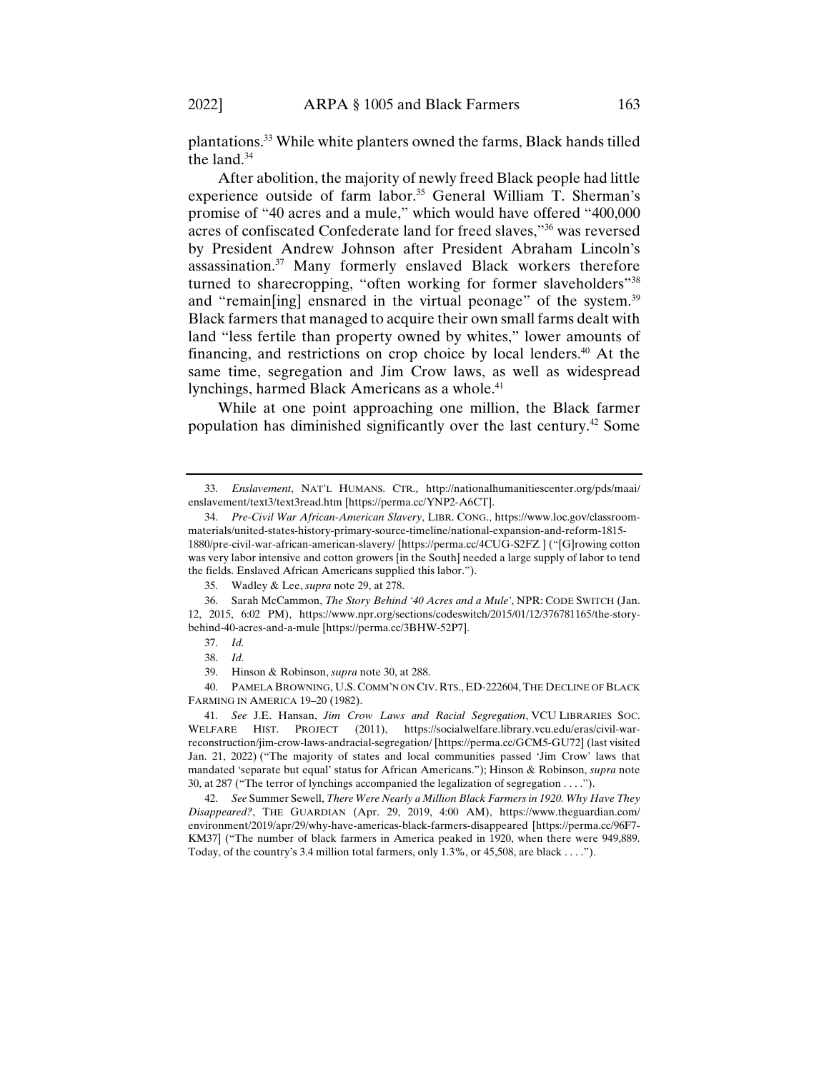plantations.33 While white planters owned the farms, Black hands tilled the land.<sup>34</sup>

After abolition, the majority of newly freed Black people had little experience outside of farm labor.<sup>35</sup> General William T. Sherman's promise of "40 acres and a mule," which would have offered "400,000 acres of confiscated Confederate land for freed slaves,"36 was reversed by President Andrew Johnson after President Abraham Lincoln's assassination.37 Many formerly enslaved Black workers therefore turned to sharecropping, "often working for former slaveholders"<sup>38</sup> and "remain[ing] ensnared in the virtual peonage" of the system.<sup>39</sup> Black farmers that managed to acquire their own small farms dealt with land "less fertile than property owned by whites," lower amounts of financing, and restrictions on crop choice by local lenders.<sup>40</sup> At the same time, segregation and Jim Crow laws, as well as widespread lynchings, harmed Black Americans as a whole.<sup>41</sup>

While at one point approaching one million, the Black farmer population has diminished significantly over the last century.42 Some

 42. *See* Summer Sewell, *There Were Nearly a Million Black Farmers in 1920. Why Have They Disappeared?*, THE GUARDIAN (Apr. 29, 2019, 4:00 AM), https://www.theguardian.com/ environment/2019/apr/29/why-have-americas-black-farmers-disappeared [https://perma.cc/96F7- KM37] ("The number of black farmers in America peaked in 1920, when there were 949,889. Today, of the country's 3.4 million total farmers, only 1.3%, or 45,508, are black . . . .").

 <sup>33.</sup> *Enslavement*, NAT'L HUMANS. CTR., http://nationalhumanitiescenter.org/pds/maai/ enslavement/text3/text3read.htm [https://perma.cc/YNP2-A6CT].

 <sup>34.</sup> *Pre-Civil War African-American Slavery*, LIBR. CONG., https://www.loc.gov/classroommaterials/united-states-history-primary-source-timeline/national-expansion-and-reform-1815- 1880/pre-civil-war-african-american-slavery/ [https://perma.cc/4CUG-S2FZ ] ("[G]rowing cotton was very labor intensive and cotton growers [in the South] needed a large supply of labor to tend the fields. Enslaved African Americans supplied this labor.").

 <sup>35.</sup> Wadley & Lee, *supra* note 29, at 278.

 <sup>36.</sup> Sarah McCammon, *The Story Behind '40 Acres and a Mule'*, NPR: CODE SWITCH (Jan. 12, 2015, 6:02 PM), https://www.npr.org/sections/codeswitch/2015/01/12/376781165/the-storybehind-40-acres-and-a-mule [https://perma.cc/3BHW-52P7].

 <sup>37.</sup> *Id.*

 <sup>38.</sup> *Id.*

 <sup>39.</sup> Hinson & Robinson, *supra* note 30, at 288.

 <sup>40.</sup> PAMELA BROWNING, U.S. COMM'N ON CIV. RTS., ED-222604,THE DECLINE OF BLACK FARMING IN AMERICA 19–20 (1982).

 <sup>41.</sup> *See* J.E. Hansan, *Jim Crow Laws and Racial Segregation*, VCU LIBRARIES SOC. WELFARE HIST. PROJECT (2011), https://socialwelfare.library.vcu.edu/eras/civil-warreconstruction/jim-crow-laws-andracial-segregation/ [https://perma.cc/GCM5-GU72] (last visited Jan. 21, 2022) ("The majority of states and local communities passed 'Jim Crow' laws that mandated 'separate but equal' status for African Americans."); Hinson & Robinson, *supra* note 30, at 287 ("The terror of lynchings accompanied the legalization of segregation . . . .").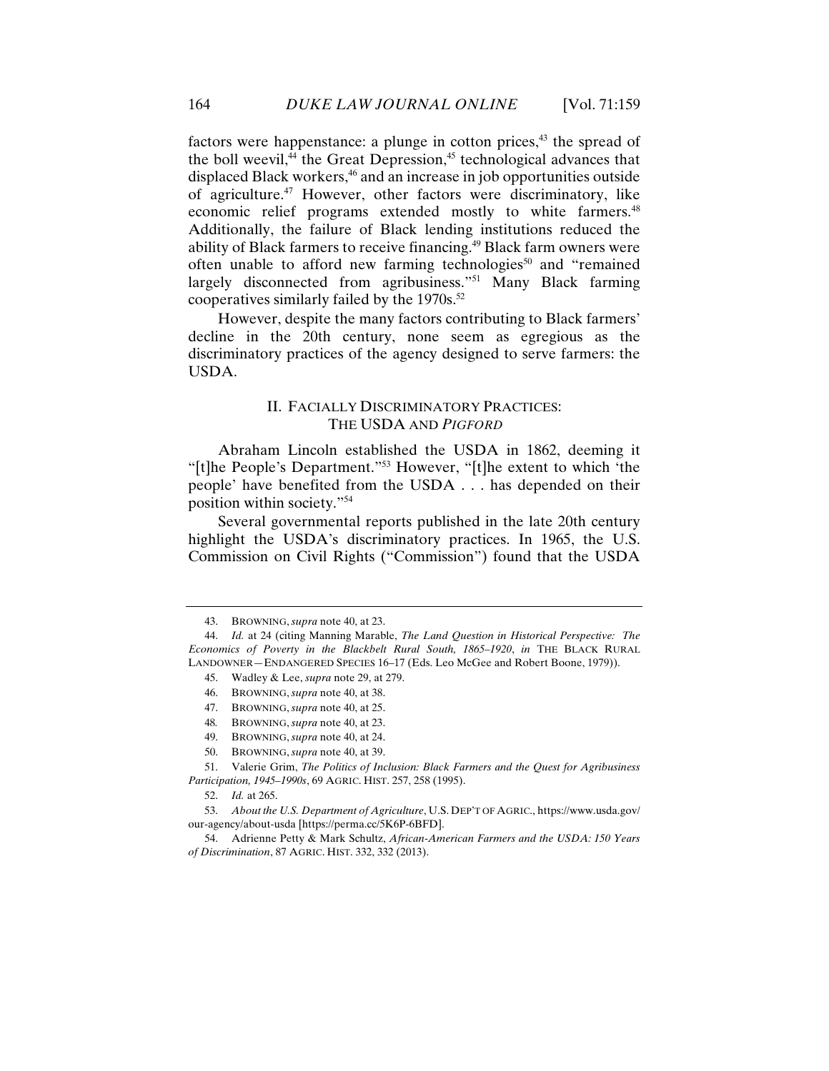factors were happenstance: a plunge in cotton prices, $43$  the spread of the boll weevil, $44$  the Great Depression, $45$  technological advances that displaced Black workers,<sup>46</sup> and an increase in job opportunities outside of agriculture.47 However, other factors were discriminatory, like economic relief programs extended mostly to white farmers.<sup>48</sup> Additionally, the failure of Black lending institutions reduced the ability of Black farmers to receive financing.<sup>49</sup> Black farm owners were often unable to afford new farming technologies<sup>50</sup> and "remained" largely disconnected from agribusiness."51 Many Black farming cooperatives similarly failed by the  $1970s$ .<sup>52</sup>

However, despite the many factors contributing to Black farmers' decline in the 20th century, none seem as egregious as the discriminatory practices of the agency designed to serve farmers: the USDA.

# II. FACIALLY DISCRIMINATORY PRACTICES: THE USDA AND *PIGFORD*

Abraham Lincoln established the USDA in 1862, deeming it "[t]he People's Department."53 However, "[t]he extent to which 'the people' have benefited from the USDA . . . has depended on their position within society."54

Several governmental reports published in the late 20th century highlight the USDA's discriminatory practices. In 1965, the U.S. Commission on Civil Rights ("Commission") found that the USDA

- 49. BROWNING, *supra* note 40, at 24.
- 50. BROWNING, *supra* note 40, at 39.

 <sup>43.</sup> BROWNING, *supra* note 40, at 23.

 <sup>44.</sup> *Id.* at 24 (citing Manning Marable, *The Land Question in Historical Perspective: The Economics of Poverty in the Blackbelt Rural South, 1865–1920*, *in* THE BLACK RURAL LANDOWNER—ENDANGERED SPECIES 16–17 (Eds. Leo McGee and Robert Boone, 1979)).

 <sup>45.</sup> Wadley & Lee, *supra* note 29, at 279.

 <sup>46.</sup> BROWNING, *supra* note 40, at 38.

 <sup>47.</sup> BROWNING, *supra* note 40, at 25.

<sup>48</sup>*.* BROWNING, *supra* note 40, at 23.

 <sup>51.</sup> Valerie Grim, *The Politics of Inclusion: Black Farmers and the Quest for Agribusiness Participation, 1945–1990s*, 69 AGRIC. HIST. 257, 258 (1995).

 <sup>52.</sup> *Id.* at 265.

 <sup>53.</sup> *About the U.S. Department of Agriculture*, U.S. DEP'T OF AGRIC., https://www.usda.gov/ our-agency/about-usda [https://perma.cc/5K6P-6BFD].

 <sup>54.</sup> Adrienne Petty & Mark Schultz, *African-American Farmers and the USDA: 150 Years of Discrimination*, 87 AGRIC. HIST. 332, 332 (2013).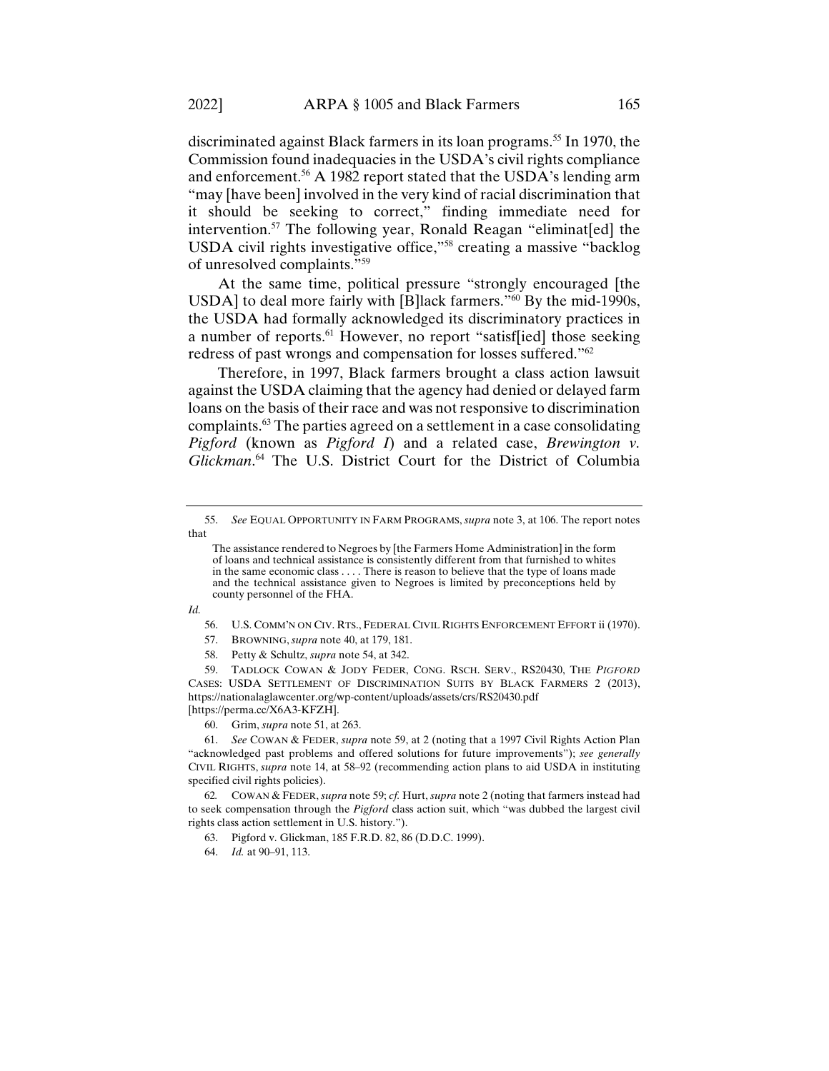discriminated against Black farmers in its loan programs.<sup>55</sup> In 1970, the Commission found inadequacies in the USDA's civil rights compliance and enforcement.<sup>56</sup> A 1982 report stated that the USDA's lending arm "may [have been] involved in the very kind of racial discrimination that it should be seeking to correct," finding immediate need for intervention.57 The following year, Ronald Reagan "eliminat[ed] the USDA civil rights investigative office,"58 creating a massive "backlog of unresolved complaints."59

At the same time, political pressure "strongly encouraged [the USDA] to deal more fairly with [B]lack farmers."<sup>60</sup> By the mid-1990s, the USDA had formally acknowledged its discriminatory practices in a number of reports.<sup>61</sup> However, no report "satisf[ied] those seeking redress of past wrongs and compensation for losses suffered."62

Therefore, in 1997, Black farmers brought a class action lawsuit against the USDA claiming that the agency had denied or delayed farm loans on the basis of their race and was not responsive to discrimination complaints.63 The parties agreed on a settlement in a case consolidating *Pigford* (known as *Pigford I*) and a related case, *Brewington v. Glickman*. 64 The U.S. District Court for the District of Columbia

*Id.*

- 57. BROWNING, *supra* note 40, at 179, 181.
- 58. Petty & Schultz, *supra* note 54, at 342.

 59. TADLOCK COWAN & JODY FEDER, CONG. RSCH. SERV., RS20430, THE *PIGFORD* CASES: USDA SETTLEMENT OF DISCRIMINATION SUITS BY BLACK FARMERS 2 (2013), https://nationalaglawcenter.org/wp-content/uploads/assets/crs/RS20430.pdf [https://perma.cc/X6A3-KFZH].

60. Grim, *supra* note 51, at 263.

 61. *See* COWAN & FEDER, *supra* note 59, at 2 (noting that a 1997 Civil Rights Action Plan "acknowledged past problems and offered solutions for future improvements"); *see generally*  CIVIL RIGHTS, *supra* note 14, at 58–92 (recommending action plans to aid USDA in instituting specified civil rights policies).

62*.* COWAN & FEDER, *supra* note 59; *cf.* Hurt, *supra* note 2 (noting that farmers instead had to seek compensation through the *Pigford* class action suit, which "was dubbed the largest civil rights class action settlement in U.S. history.").

63. Pigford v. Glickman, 185 F.R.D. 82, 86 (D.D.C. 1999).

64. *Id.* at 90–91, 113.

 <sup>55.</sup> *See* EQUAL OPPORTUNITY IN FARM PROGRAMS, *supra* note 3, at 106. The report notes that

The assistance rendered to Negroes by [the Farmers Home Administration] in the form of loans and technical assistance is consistently different from that furnished to whites in the same economic class . . . . There is reason to believe that the type of loans made and the technical assistance given to Negroes is limited by preconceptions held by county personnel of the FHA.

 <sup>56.</sup> U.S. COMM'N ON CIV. RTS., FEDERAL CIVIL RIGHTS ENFORCEMENT EFFORT ii (1970).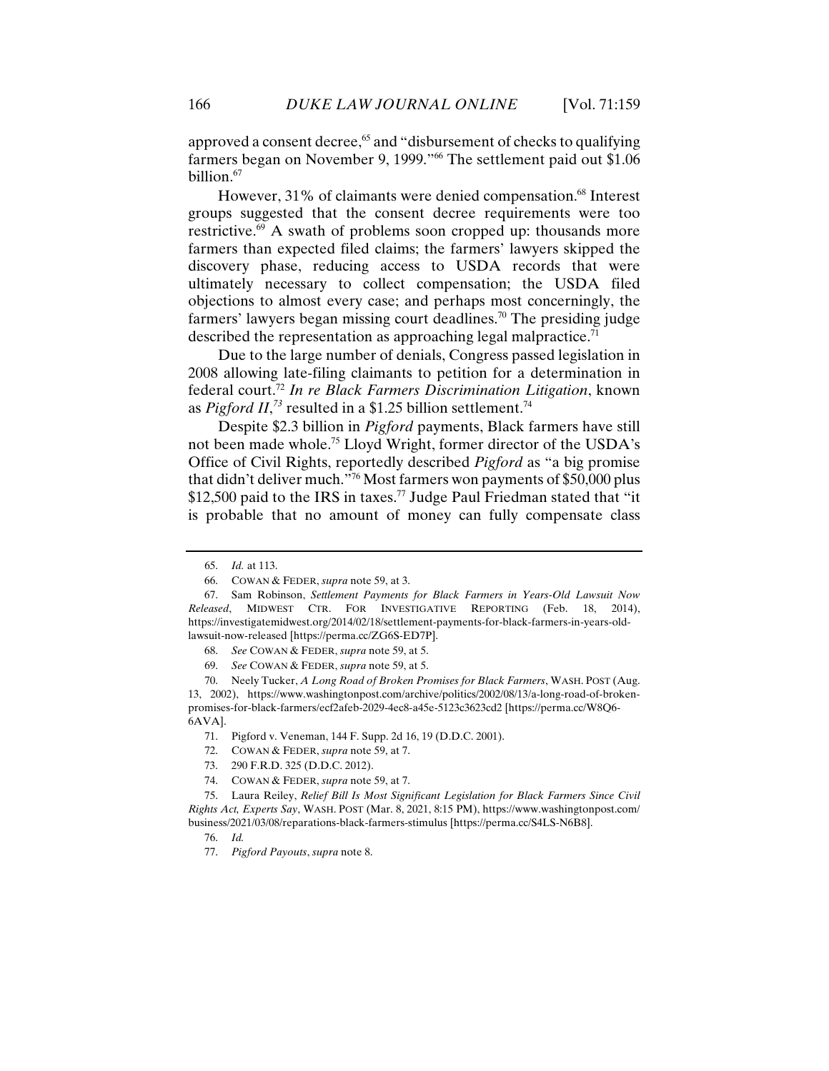approved a consent decree,<sup>65</sup> and "disbursement of checks to qualifying farmers began on November 9, 1999."<sup>66</sup> The settlement paid out \$1.06 billion.<sup>67</sup>

However, 31% of claimants were denied compensation.<sup>68</sup> Interest groups suggested that the consent decree requirements were too restrictive.<sup>69</sup> A swath of problems soon cropped up: thousands more farmers than expected filed claims; the farmers' lawyers skipped the discovery phase, reducing access to USDA records that were ultimately necessary to collect compensation; the USDA filed objections to almost every case; and perhaps most concerningly, the farmers' lawyers began missing court deadlines.<sup>70</sup> The presiding judge described the representation as approaching legal malpractice.<sup>71</sup>

Due to the large number of denials, Congress passed legislation in 2008 allowing late-filing claimants to petition for a determination in federal court.72 *In re Black Farmers Discrimination Litigation*, known as *Pigford II*, *<sup>73</sup>* resulted in a \$1.25 billion settlement.74

Despite \$2.3 billion in *Pigford* payments, Black farmers have still not been made whole.75 Lloyd Wright, former director of the USDA's Office of Civil Rights, reportedly described *Pigford* as "a big promise that didn't deliver much."76 Most farmers won payments of \$50,000 plus \$12,500 paid to the IRS in taxes.<sup>77</sup> Judge Paul Friedman stated that "it is probable that no amount of money can fully compensate class

 <sup>65.</sup> *Id.* at 113.

 <sup>66.</sup> COWAN & FEDER, *supra* note 59, at 3.

 <sup>67.</sup> Sam Robinson, *Settlement Payments for Black Farmers in Years-Old Lawsuit Now Released*, MIDWEST CTR. FOR INVESTIGATIVE REPORTING (Feb. 18, 2014), https://investigatemidwest.org/2014/02/18/settlement-payments-for-black-farmers-in-years-oldlawsuit-now-released [https://perma.cc/ZG6S-ED7P].

 <sup>68.</sup> *See* COWAN & FEDER, *supra* note 59, at 5.

 <sup>69.</sup> *See* COWAN & FEDER, *supra* note 59, at 5.

 <sup>70.</sup> Neely Tucker, *A Long Road of Broken Promises for Black Farmers*, WASH. POST (Aug. 13, 2002), https://www.washingtonpost.com/archive/politics/2002/08/13/a-long-road-of-brokenpromises-for-black-farmers/ecf2afeb-2029-4ec8-a45e-5123c3623cd2 [https://perma.cc/W8Q6- 6AVA].

 <sup>71.</sup> Pigford v. Veneman, 144 F. Supp. 2d 16, 19 (D.D.C. 2001).

 <sup>72.</sup> COWAN & FEDER, *supra* note 59, at 7.

 <sup>73. 290</sup> F.R.D. 325 (D.D.C. 2012).

 <sup>74.</sup> COWAN & FEDER, *supra* note 59, at 7.

 <sup>75.</sup> Laura Reiley, *Relief Bill Is Most Significant Legislation for Black Farmers Since Civil Rights Act, Experts Say*, WASH. POST (Mar. 8, 2021, 8:15 PM), https://www.washingtonpost.com/ business/2021/03/08/reparations-black-farmers-stimulus [https://perma.cc/S4LS-N6B8].

 <sup>76.</sup> *Id.*

 <sup>77.</sup> *Pigford Payouts*, *supra* note 8.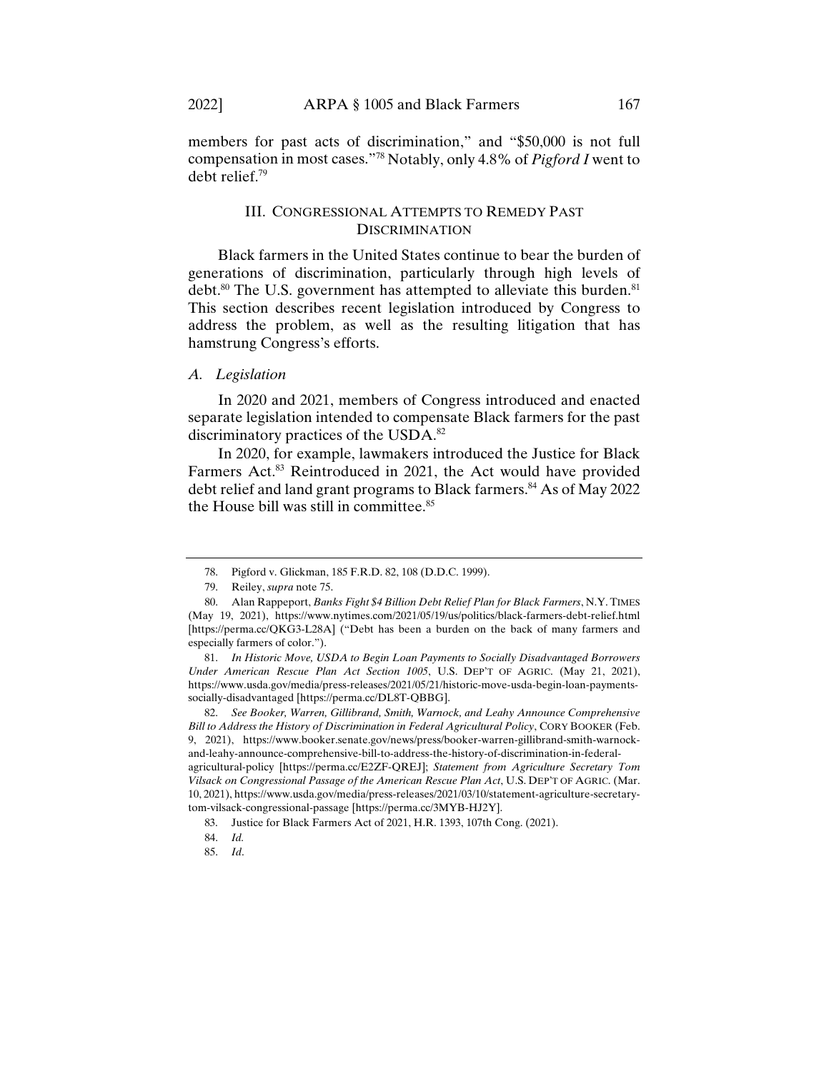members for past acts of discrimination," and "\$50,000 is not full compensation in most cases."78 Notably, only 4.8% of *Pigford I* went to debt relief.79

# III. CONGRESSIONAL ATTEMPTS TO REMEDY PAST **DISCRIMINATION**

Black farmers in the United States continue to bear the burden of generations of discrimination, particularly through high levels of debt.<sup>80</sup> The U.S. government has attempted to alleviate this burden.<sup>81</sup> This section describes recent legislation introduced by Congress to address the problem, as well as the resulting litigation that has hamstrung Congress's efforts.

## *A. Legislation*

In 2020 and 2021, members of Congress introduced and enacted separate legislation intended to compensate Black farmers for the past discriminatory practices of the USDA.<sup>82</sup>

In 2020, for example, lawmakers introduced the Justice for Black Farmers Act.<sup>83</sup> Reintroduced in 2021, the Act would have provided debt relief and land grant programs to Black farmers.<sup>84</sup> As of May 2022 the House bill was still in committee.<sup>85</sup>

agricultural-policy [https://perma.cc/E2ZF-QREJ]; *Statement from Agriculture Secretary Tom Vilsack on Congressional Passage of the American Rescue Plan Act*, U.S. DEP'T OF AGRIC. (Mar. 10, 2021), https://www.usda.gov/media/press-releases/2021/03/10/statement-agriculture-secretarytom-vilsack-congressional-passage [https://perma.cc/3MYB-HJ2Y].

 <sup>78.</sup> Pigford v. Glickman, 185 F.R.D. 82, 108 (D.D.C. 1999).

 <sup>79.</sup> Reiley, *supra* note 75.

 <sup>80.</sup> Alan Rappeport, *Banks Fight \$4 Billion Debt Relief Plan for Black Farmers*, N.Y. TIMES (May 19, 2021), https://www.nytimes.com/2021/05/19/us/politics/black-farmers-debt-relief.html [https://perma.cc/QKG3-L28A] ("Debt has been a burden on the back of many farmers and especially farmers of color.").

 <sup>81.</sup> *In Historic Move, USDA to Begin Loan Payments to Socially Disadvantaged Borrowers Under American Rescue Plan Act Section 1005*, U.S. DEP'T OF AGRIC. (May 21, 2021), https://www.usda.gov/media/press-releases/2021/05/21/historic-move-usda-begin-loan-paymentssocially-disadvantaged [https://perma.cc/DL8T-QBBG].

 <sup>82.</sup> *See Booker, Warren, Gillibrand, Smith, Warnock, and Leahy Announce Comprehensive Bill to Address the History of Discrimination in Federal Agricultural Policy*, CORY BOOKER (Feb. 9, 2021), https://www.booker.senate.gov/news/press/booker-warren-gillibrand-smith-warnockand-leahy-announce-comprehensive-bill-to-address-the-history-of-discrimination-in-federal-

 <sup>83.</sup> Justice for Black Farmers Act of 2021, H.R. 1393, 107th Cong. (2021).

 <sup>84.</sup> *Id.* 

 <sup>85.</sup> *Id*.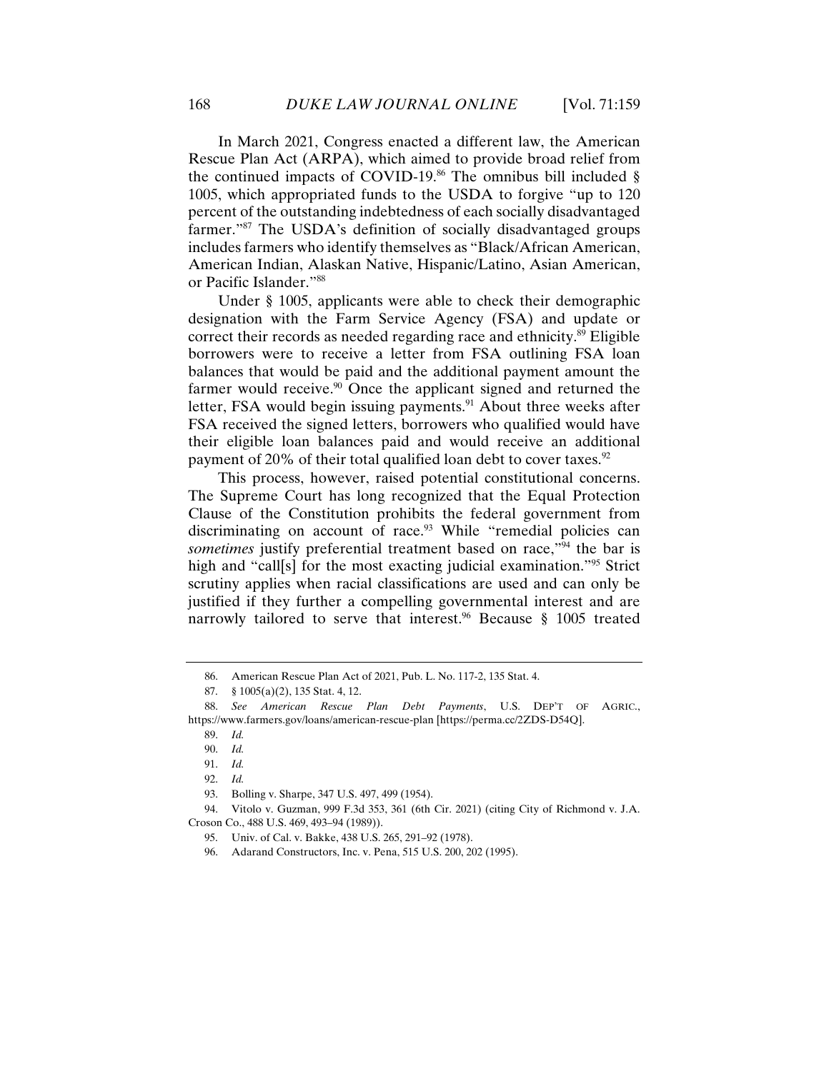In March 2021, Congress enacted a different law, the American Rescue Plan Act (ARPA), which aimed to provide broad relief from the continued impacts of COVID-19.<sup>86</sup> The omnibus bill included  $\S$ 1005, which appropriated funds to the USDA to forgive "up to 120 percent of the outstanding indebtedness of each socially disadvantaged farmer."87 The USDA's definition of socially disadvantaged groups includes farmers who identify themselves as "Black/African American, American Indian, Alaskan Native, Hispanic/Latino, Asian American, or Pacific Islander."88

Under § 1005, applicants were able to check their demographic designation with the Farm Service Agency (FSA) and update or correct their records as needed regarding race and ethnicity.<sup>89</sup> Eligible borrowers were to receive a letter from FSA outlining FSA loan balances that would be paid and the additional payment amount the farmer would receive.<sup>90</sup> Once the applicant signed and returned the letter, FSA would begin issuing payments.<sup>91</sup> About three weeks after FSA received the signed letters, borrowers who qualified would have their eligible loan balances paid and would receive an additional payment of 20% of their total qualified loan debt to cover taxes. $92$ 

This process, however, raised potential constitutional concerns. The Supreme Court has long recognized that the Equal Protection Clause of the Constitution prohibits the federal government from discriminating on account of race. $93$  While "remedial policies can *sometimes* justify preferential treatment based on race,"<sup>94</sup> the bar is high and "call[s] for the most exacting judicial examination."<sup>95</sup> Strict scrutiny applies when racial classifications are used and can only be justified if they further a compelling governmental interest and are narrowly tailored to serve that interest.<sup>96</sup> Because § 1005 treated

 <sup>86.</sup> American Rescue Plan Act of 2021, Pub. L. No. 117-2, 135 Stat. 4.

 <sup>87. § 1005(</sup>a)(2), 135 Stat. 4, 12.

 <sup>88.</sup> *See American Rescue Plan Debt Payments*, U.S. DEP'T OF AGRIC., https://www.farmers.gov/loans/american-rescue-plan [https://perma.cc/2ZDS-D54Q].

 <sup>89.</sup> *Id.*

 <sup>90.</sup> *Id.*

 <sup>91.</sup> *Id.*

 <sup>92.</sup> *Id.*

 <sup>93.</sup> Bolling v. Sharpe, 347 U.S. 497, 499 (1954).

 <sup>94.</sup> Vitolo v. Guzman, 999 F.3d 353, 361 (6th Cir. 2021) (citing City of Richmond v. J.A. Croson Co., 488 U.S. 469, 493–94 (1989)).

 <sup>95.</sup> Univ. of Cal. v. Bakke, 438 U.S. 265, 291–92 (1978).

 <sup>96.</sup> Adarand Constructors, Inc. v. Pena, 515 U.S. 200, 202 (1995).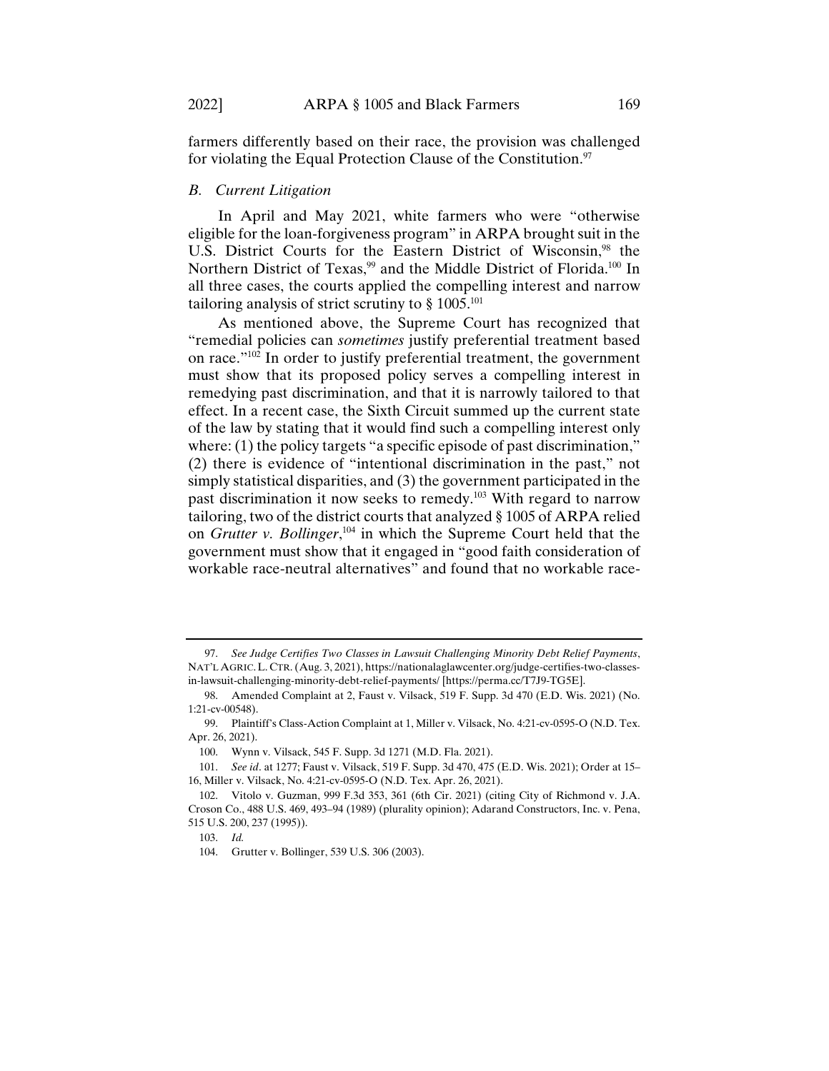farmers differently based on their race, the provision was challenged for violating the Equal Protection Clause of the Constitution.<sup>97</sup>

#### *B. Current Litigation*

In April and May 2021, white farmers who were "otherwise eligible for the loan-forgiveness program" in ARPA brought suit in the U.S. District Courts for the Eastern District of Wisconsin,<sup>98</sup> the Northern District of Texas,<sup>99</sup> and the Middle District of Florida.<sup>100</sup> In all three cases, the courts applied the compelling interest and narrow tailoring analysis of strict scrutiny to  $\S 1005$ .<sup>101</sup>

As mentioned above, the Supreme Court has recognized that "remedial policies can *sometimes* justify preferential treatment based on race."102 In order to justify preferential treatment, the government must show that its proposed policy serves a compelling interest in remedying past discrimination, and that it is narrowly tailored to that effect. In a recent case, the Sixth Circuit summed up the current state of the law by stating that it would find such a compelling interest only where: (1) the policy targets "a specific episode of past discrimination," (2) there is evidence of "intentional discrimination in the past," not simply statistical disparities, and (3) the government participated in the past discrimination it now seeks to remedy.103 With regard to narrow tailoring, two of the district courts that analyzed § 1005 of ARPA relied on *Grutter v. Bollinger*, 104 in which the Supreme Court held that the government must show that it engaged in "good faith consideration of workable race-neutral alternatives" and found that no workable race-

 <sup>97.</sup> *See Judge Certifies Two Classes in Lawsuit Challenging Minority Debt Relief Payments*, NAT'L AGRIC.L. CTR. (Aug. 3, 2021), https://nationalaglawcenter.org/judge-certifies-two-classesin-lawsuit-challenging-minority-debt-relief-payments/ [https://perma.cc/T7J9-TG5E].

 <sup>98.</sup> Amended Complaint at 2, Faust v. Vilsack, 519 F. Supp. 3d 470 (E.D. Wis. 2021) (No. 1:21-cv-00548).

 <sup>99.</sup> Plaintiff's Class-Action Complaint at 1, Miller v. Vilsack, No. 4:21-cv-0595-O (N.D. Tex. Apr. 26, 2021).

 <sup>100.</sup> Wynn v. Vilsack, 545 F. Supp. 3d 1271 (M.D. Fla. 2021).

 <sup>101.</sup> *See id*. at 1277; Faust v. Vilsack, 519 F. Supp. 3d 470, 475 (E.D. Wis. 2021); Order at 15– 16, Miller v. Vilsack, No. 4:21-cv-0595-O (N.D. Tex. Apr. 26, 2021).

 <sup>102.</sup> Vitolo v. Guzman, 999 F.3d 353, 361 (6th Cir. 2021) (citing City of Richmond v. J.A. Croson Co., 488 U.S. 469, 493–94 (1989) (plurality opinion); Adarand Constructors, Inc. v. Pena, 515 U.S. 200, 237 (1995)).

 <sup>103.</sup> *Id.* 

 <sup>104.</sup> Grutter v. Bollinger, 539 U.S. 306 (2003).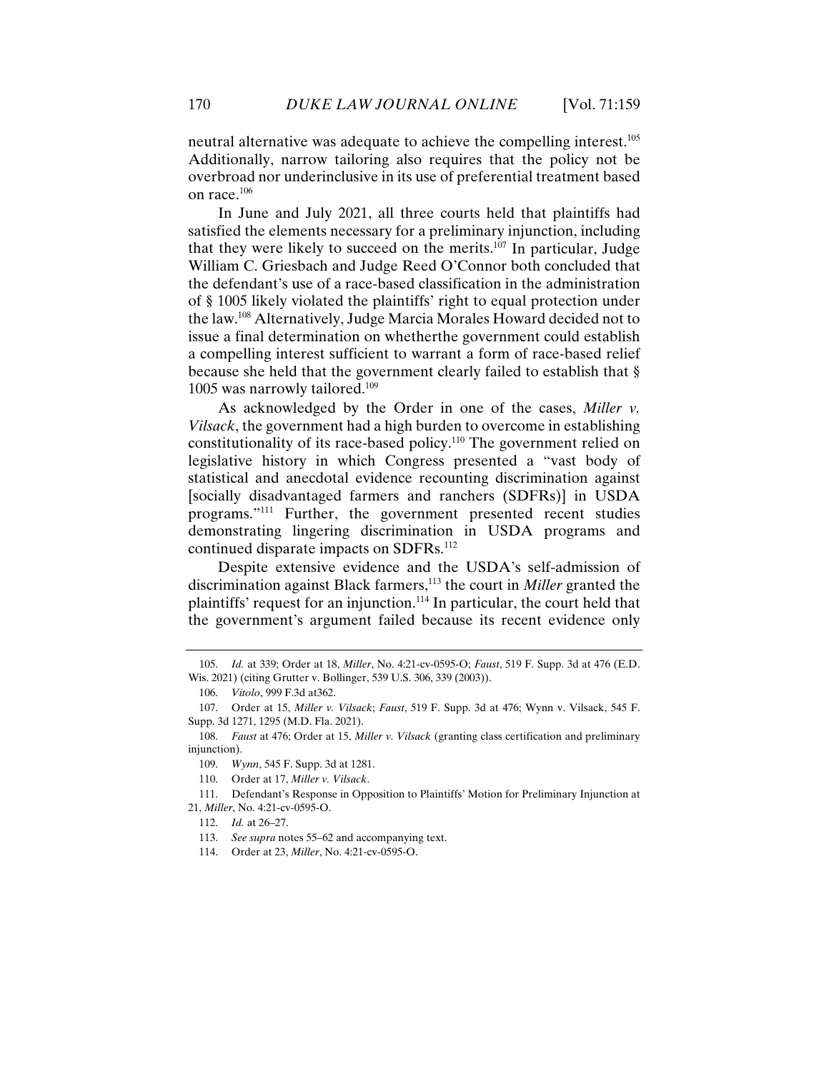neutral alternative was adequate to achieve the compelling interest.105 Additionally, narrow tailoring also requires that the policy not be overbroad nor underinclusive in its use of preferential treatment based on race.<sup>106</sup>

In June and July 2021, all three courts held that plaintiffs had satisfied the elements necessary for a preliminary injunction, including that they were likely to succeed on the merits. $107$  In particular, Judge William C. Griesbach and Judge Reed O'Connor both concluded that the defendant's use of a race-based classification in the administration of § 1005 likely violated the plaintiffs' right to equal protection under the law.108 Alternatively, Judge Marcia Morales Howard decided not to issue a final determination on whetherthe government could establish a compelling interest sufficient to warrant a form of race-based relief because she held that the government clearly failed to establish that § 1005 was narrowly tailored.<sup>109</sup>

As acknowledged by the Order in one of the cases, *Miller v. Vilsack*, the government had a high burden to overcome in establishing constitutionality of its race-based policy.110 The government relied on legislative history in which Congress presented a "vast body of statistical and anecdotal evidence recounting discrimination against [socially disadvantaged farmers and ranchers (SDFRs)] in USDA programs."111 Further, the government presented recent studies demonstrating lingering discrimination in USDA programs and continued disparate impacts on SDFRs.<sup>112</sup>

Despite extensive evidence and the USDA's self-admission of discrimination against Black farmers,113 the court in *Miller* granted the plaintiffs' request for an injunction.114 In particular, the court held that the government's argument failed because its recent evidence only

 111. Defendant's Response in Opposition to Plaintiffs' Motion for Preliminary Injunction at 21, *Miller*, No. 4:21-cv-0595-O.

 <sup>105.</sup> *Id.* at 339; Order at 18, *Miller*, No. 4:21-cv-0595-O; *Faust*, 519 F. Supp. 3d at 476 (E.D. Wis. 2021) (citing Grutter v. Bollinger, 539 U.S. 306, 339 (2003)).

 <sup>106.</sup> *Vitolo*, 999 F.3d at362.

 <sup>107.</sup> Order at 15, *Miller v. Vilsack*; *Faust*, 519 F. Supp. 3d at 476; Wynn v. Vilsack, 545 F. Supp. 3d 1271, 1295 (M.D. Fla. 2021).

 <sup>108.</sup> *Faust* at 476; Order at 15, *Miller v. Vilsack* (granting class certification and preliminary injunction).

 <sup>109.</sup> *Wynn*, 545 F. Supp. 3d at 1281.

 <sup>110.</sup> Order at 17, *Miller v. Vilsack*.

 <sup>112.</sup> *Id.* at 26–27.

 <sup>113.</sup> *See supra* notes 55–62 and accompanying text.

 <sup>114.</sup> Order at 23, *Miller*, No. 4:21-cv-0595-O.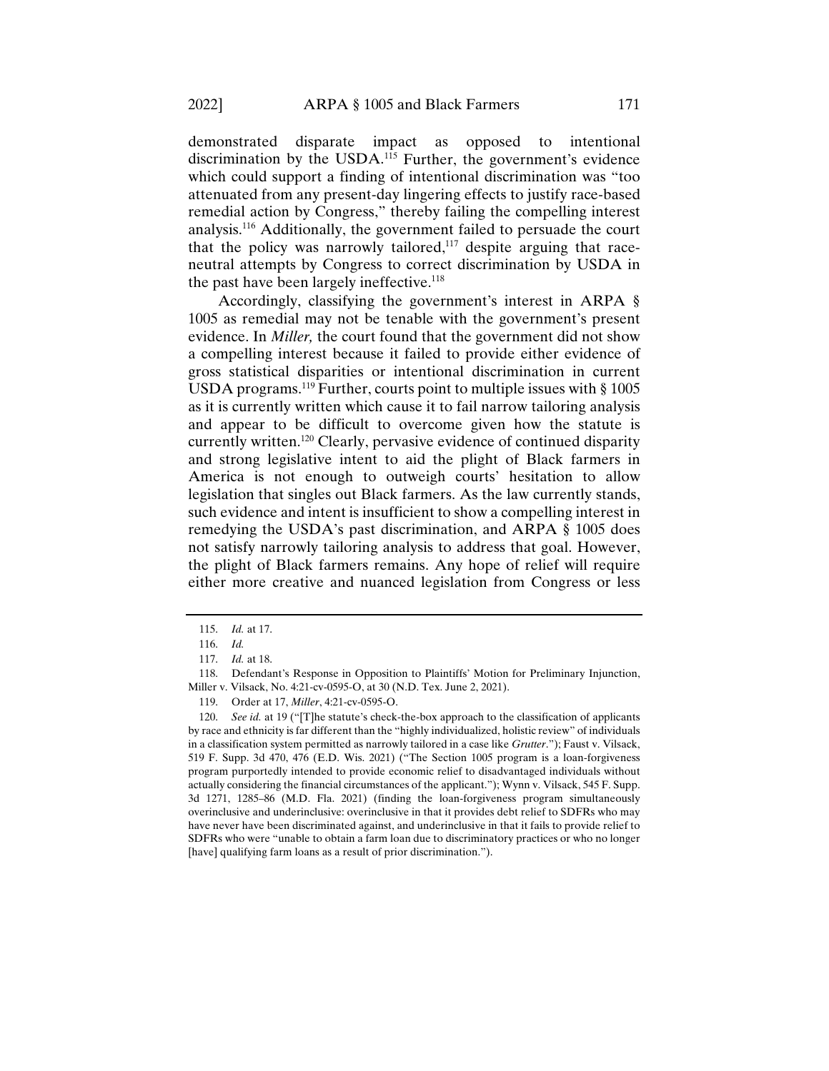demonstrated disparate impact as opposed to intentional discrimination by the USDA.<sup>115</sup> Further, the government's evidence which could support a finding of intentional discrimination was "too attenuated from any present-day lingering effects to justify race-based remedial action by Congress," thereby failing the compelling interest analysis.116 Additionally, the government failed to persuade the court that the policy was narrowly tailored,<sup>117</sup> despite arguing that raceneutral attempts by Congress to correct discrimination by USDA in the past have been largely ineffective.<sup>118</sup>

Accordingly, classifying the government's interest in ARPA § 1005 as remedial may not be tenable with the government's present evidence. In *Miller,* the court found that the government did not show a compelling interest because it failed to provide either evidence of gross statistical disparities or intentional discrimination in current USDA programs.<sup>119</sup> Further, courts point to multiple issues with  $\S 1005$ as it is currently written which cause it to fail narrow tailoring analysis and appear to be difficult to overcome given how the statute is currently written.120 Clearly, pervasive evidence of continued disparity and strong legislative intent to aid the plight of Black farmers in America is not enough to outweigh courts' hesitation to allow legislation that singles out Black farmers. As the law currently stands, such evidence and intent is insufficient to show a compelling interest in remedying the USDA's past discrimination, and ARPA § 1005 does not satisfy narrowly tailoring analysis to address that goal. However, the plight of Black farmers remains. Any hope of relief will require either more creative and nuanced legislation from Congress or less

 <sup>115.</sup> *Id.* at 17.

 <sup>116.</sup> *Id.*

 <sup>117.</sup> *Id.* at 18.

 <sup>118.</sup> Defendant's Response in Opposition to Plaintiffs' Motion for Preliminary Injunction, Miller v. Vilsack, No. 4:21-cv-0595-O, at 30 (N.D. Tex. June 2, 2021).

 <sup>119.</sup> Order at 17, *Miller*, 4:21-cv-0595-O.

 <sup>120.</sup> *See id.* at 19 ("[T]he statute's check-the-box approach to the classification of applicants by race and ethnicity is far different than the "highly individualized, holistic review" of individuals in a classification system permitted as narrowly tailored in a case like *Grutter*."); Faust v. Vilsack, 519 F. Supp. 3d 470, 476 (E.D. Wis. 2021) ("The Section 1005 program is a loan-forgiveness program purportedly intended to provide economic relief to disadvantaged individuals without actually considering the financial circumstances of the applicant."); Wynn v. Vilsack, 545 F. Supp. 3d 1271, 1285–86 (M.D. Fla. 2021) (finding the loan-forgiveness program simultaneously overinclusive and underinclusive: overinclusive in that it provides debt relief to SDFRs who may have never have been discriminated against, and underinclusive in that it fails to provide relief to SDFRs who were "unable to obtain a farm loan due to discriminatory practices or who no longer [have] qualifying farm loans as a result of prior discrimination.").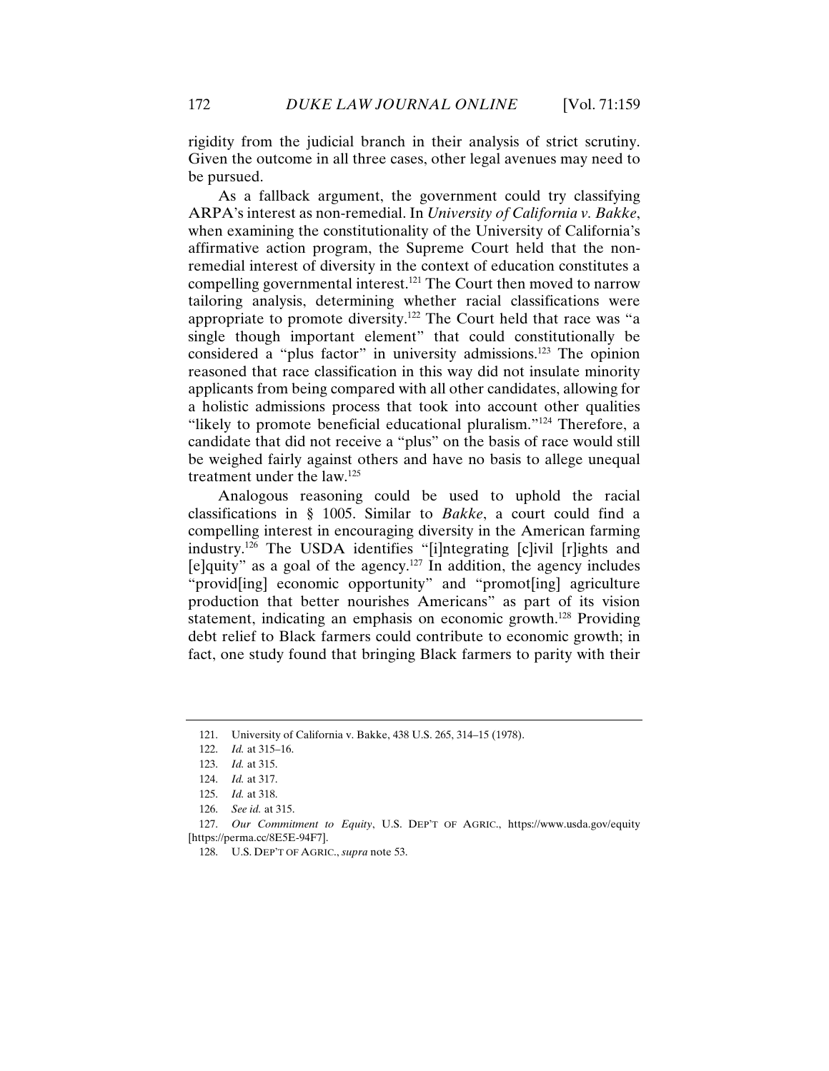rigidity from the judicial branch in their analysis of strict scrutiny. Given the outcome in all three cases, other legal avenues may need to be pursued.

As a fallback argument, the government could try classifying ARPA's interest as non-remedial. In *University of California v. Bakke*, when examining the constitutionality of the University of California's affirmative action program, the Supreme Court held that the nonremedial interest of diversity in the context of education constitutes a compelling governmental interest.121 The Court then moved to narrow tailoring analysis, determining whether racial classifications were appropriate to promote diversity.122 The Court held that race was "a single though important element" that could constitutionally be considered a "plus factor" in university admissions.123 The opinion reasoned that race classification in this way did not insulate minority applicants from being compared with all other candidates, allowing for a holistic admissions process that took into account other qualities "likely to promote beneficial educational pluralism."<sup>124</sup> Therefore, a candidate that did not receive a "plus" on the basis of race would still be weighed fairly against others and have no basis to allege unequal treatment under the law.125

Analogous reasoning could be used to uphold the racial classifications in § 1005. Similar to *Bakke*, a court could find a compelling interest in encouraging diversity in the American farming industry.126 The USDA identifies "[i]ntegrating [c]ivil [r]ights and  $[$ e]quity" as a goal of the agency.<sup>127</sup> In addition, the agency includes "provid[ing] economic opportunity" and "promot[ing] agriculture production that better nourishes Americans" as part of its vision statement, indicating an emphasis on economic growth.<sup>128</sup> Providing debt relief to Black farmers could contribute to economic growth; in fact, one study found that bringing Black farmers to parity with their

 <sup>121.</sup> University of California v. Bakke, 438 U.S. 265, 314–15 (1978).

 <sup>122.</sup> *Id.* at 315–16.

 <sup>123.</sup> *Id.* at 315.

 <sup>124.</sup> *Id.* at 317.

 <sup>125.</sup> *Id.* at 318.

 <sup>126.</sup> *See id.* at 315.

 <sup>127.</sup> *Our Commitment to Equity*, U.S. DEP'T OF AGRIC., https://www.usda.gov/equity [https://perma.cc/8E5E-94F7].

 <sup>128.</sup> U.S. DEP'T OF AGRIC., *supra* note 53.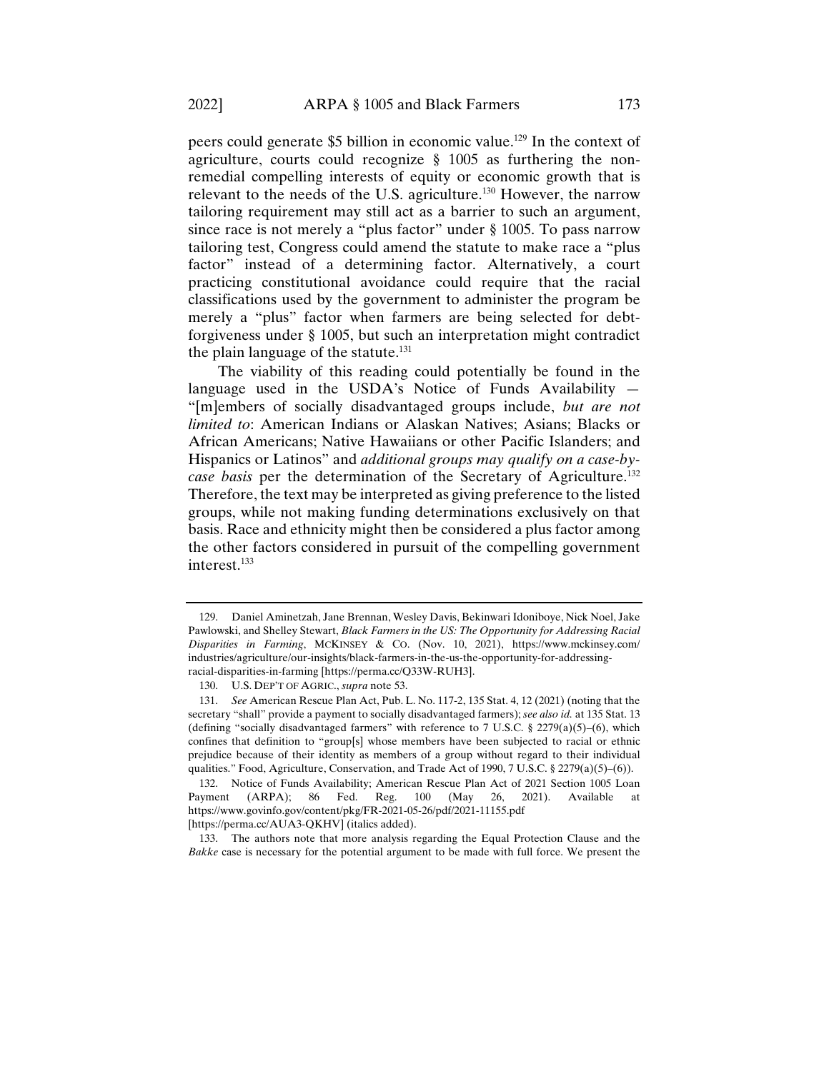peers could generate \$5 billion in economic value.129 In the context of agriculture, courts could recognize § 1005 as furthering the nonremedial compelling interests of equity or economic growth that is relevant to the needs of the U.S. agriculture.<sup>130</sup> However, the narrow tailoring requirement may still act as a barrier to such an argument, since race is not merely a "plus factor" under § 1005. To pass narrow tailoring test, Congress could amend the statute to make race a "plus factor" instead of a determining factor. Alternatively, a court practicing constitutional avoidance could require that the racial classifications used by the government to administer the program be merely a "plus" factor when farmers are being selected for debtforgiveness under § 1005, but such an interpretation might contradict the plain language of the statute. $131$ 

The viability of this reading could potentially be found in the language used in the USDA's Notice of Funds Availability — "[m]embers of socially disadvantaged groups include, *but are not limited to*: American Indians or Alaskan Natives; Asians; Blacks or African Americans; Native Hawaiians or other Pacific Islanders; and Hispanics or Latinos" and *additional groups may qualify on a case-bycase basis* per the determination of the Secretary of Agriculture.132 Therefore, the text may be interpreted as giving preference to the listed groups, while not making funding determinations exclusively on that basis. Race and ethnicity might then be considered a plus factor among the other factors considered in pursuit of the compelling government interest.<sup>133</sup>

 133. The authors note that more analysis regarding the Equal Protection Clause and the *Bakke* case is necessary for the potential argument to be made with full force. We present the

 <sup>129.</sup> Daniel Aminetzah, Jane Brennan, Wesley Davis, Bekinwari Idoniboye, Nick Noel, Jake Pawlowski, and Shelley Stewart, *Black Farmers in the US: The Opportunity for Addressing Racial Disparities in Farming*, MCKINSEY & CO. (Nov. 10, 2021), https://www.mckinsey.com/ industries/agriculture/our-insights/black-farmers-in-the-us-the-opportunity-for-addressingracial-disparities-in-farming [https://perma.cc/Q33W-RUH3].

 <sup>130.</sup> U.S. DEP'T OF AGRIC., *supra* note 53.

 <sup>131.</sup> *See* American Rescue Plan Act, Pub. L. No. 117-2, 135 Stat. 4, 12 (2021) (noting that the secretary "shall" provide a payment to socially disadvantaged farmers); *see also id.* at 135 Stat. 13 (defining "socially disadvantaged farmers" with reference to 7 U.S.C. § 2279(a)(5)–(6), which confines that definition to "group[s] whose members have been subjected to racial or ethnic prejudice because of their identity as members of a group without regard to their individual qualities." Food, Agriculture, Conservation, and Trade Act of 1990, 7 U.S.C. § 2279(a)(5)–(6)).

 <sup>132.</sup> Notice of Funds Availability; American Rescue Plan Act of 2021 Section 1005 Loan Payment (ARPA); 86 Fed. Reg. 100 (May 26, 2021). Available at https://www.govinfo.gov/content/pkg/FR-2021-05-26/pdf/2021-11155.pdf [https://perma.cc/AUA3-QKHV] (italics added).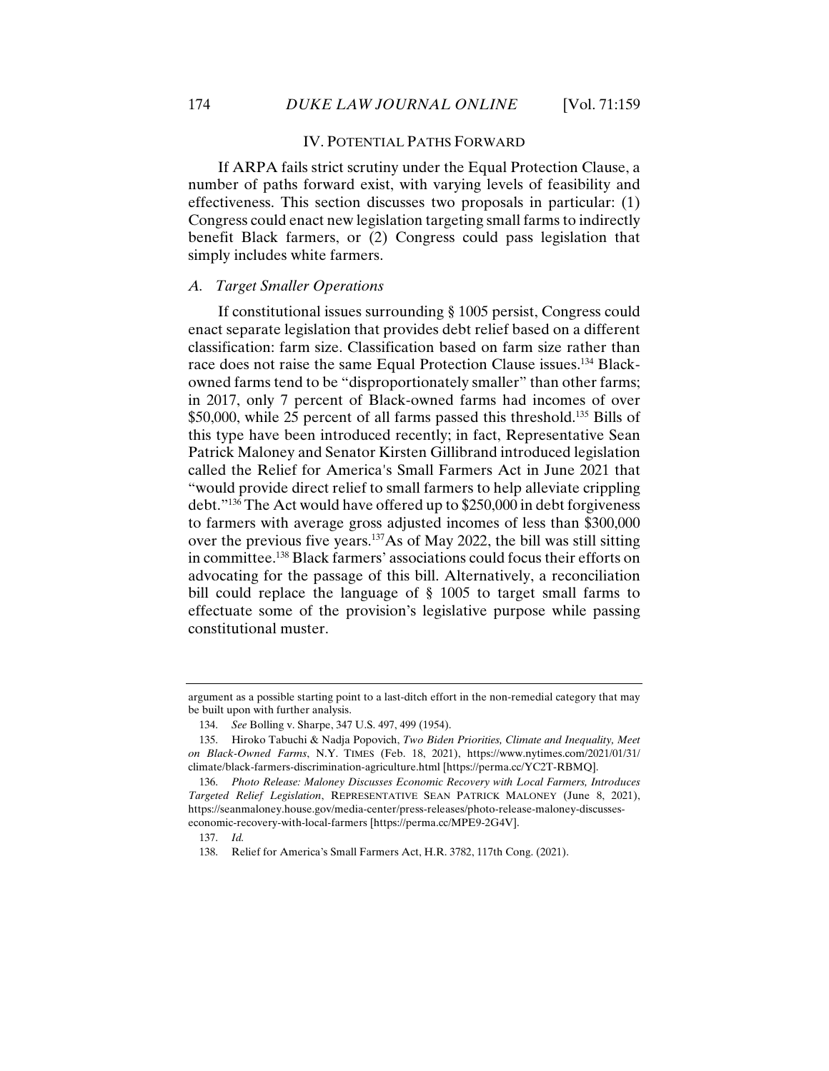#### IV. POTENTIAL PATHS FORWARD

If ARPA fails strict scrutiny under the Equal Protection Clause, a number of paths forward exist, with varying levels of feasibility and effectiveness. This section discusses two proposals in particular: (1) Congress could enact new legislation targeting small farms to indirectly benefit Black farmers, or (2) Congress could pass legislation that simply includes white farmers.

#### *A. Target Smaller Operations*

If constitutional issues surrounding § 1005 persist, Congress could enact separate legislation that provides debt relief based on a different classification: farm size. Classification based on farm size rather than race does not raise the same Equal Protection Clause issues.<sup>134</sup> Blackowned farms tend to be "disproportionately smaller" than other farms; in 2017, only 7 percent of Black-owned farms had incomes of over \$50,000, while 25 percent of all farms passed this threshold.<sup>135</sup> Bills of this type have been introduced recently; in fact, Representative Sean Patrick Maloney and Senator Kirsten Gillibrand introduced legislation called the Relief for America's Small Farmers Act in June 2021 that "would provide direct relief to small farmers to help alleviate crippling debt."136 The Act would have offered up to \$250,000 in debt forgiveness to farmers with average gross adjusted incomes of less than \$300,000 over the previous five years.137As of May 2022, the bill was still sitting in committee.138 Black farmers' associations could focus their efforts on advocating for the passage of this bill. Alternatively, a reconciliation bill could replace the language of § 1005 to target small farms to effectuate some of the provision's legislative purpose while passing constitutional muster.

argument as a possible starting point to a last-ditch effort in the non-remedial category that may be built upon with further analysis.

 <sup>134.</sup> *See* Bolling v. Sharpe, 347 U.S. 497, 499 (1954).

 <sup>135.</sup> Hiroko Tabuchi & Nadja Popovich, *Two Biden Priorities, Climate and Inequality, Meet on Black-Owned Farms*, N.Y. TIMES (Feb. 18, 2021), https://www.nytimes.com/2021/01/31/ climate/black-farmers-discrimination-agriculture.html [https://perma.cc/YC2T-RBMQ].

 <sup>136.</sup> *Photo Release: Maloney Discusses Economic Recovery with Local Farmers, Introduces Targeted Relief Legislation*, REPRESENTATIVE SEAN PATRICK MALONEY (June 8, 2021), https://seanmaloney.house.gov/media-center/press-releases/photo-release-maloney-discusseseconomic-recovery-with-local-farmers [https://perma.cc/MPE9-2G4V].

 <sup>137.</sup> *Id.*

 <sup>138.</sup> Relief for America's Small Farmers Act, H.R. 3782, 117th Cong. (2021).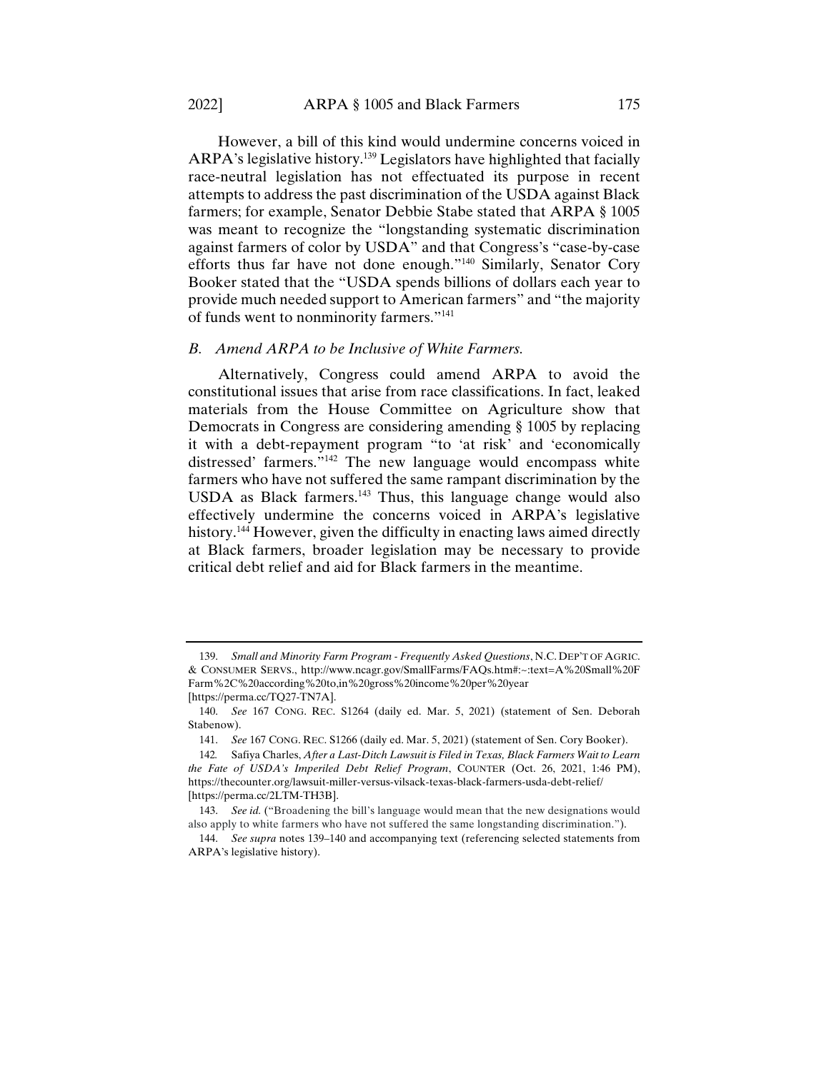However, a bill of this kind would undermine concerns voiced in ARPA's legislative history.<sup>139</sup> Legislators have highlighted that facially race-neutral legislation has not effectuated its purpose in recent attempts to address the past discrimination of the USDA against Black farmers; for example, Senator Debbie Stabe stated that ARPA § 1005 was meant to recognize the "longstanding systematic discrimination against farmers of color by USDA" and that Congress's "case-by-case efforts thus far have not done enough."140 Similarly, Senator Cory Booker stated that the "USDA spends billions of dollars each year to provide much needed support to American farmers" and "the majority of funds went to nonminority farmers."141

# *B. Amend ARPA to be Inclusive of White Farmers.*

Alternatively, Congress could amend ARPA to avoid the constitutional issues that arise from race classifications. In fact, leaked materials from the House Committee on Agriculture show that Democrats in Congress are considering amending § 1005 by replacing it with a debt-repayment program "to 'at risk' and 'economically distressed' farmers."<sup>142</sup> The new language would encompass white farmers who have not suffered the same rampant discrimination by the USDA as Black farmers.143 Thus, this language change would also effectively undermine the concerns voiced in ARPA's legislative history.<sup>144</sup> However, given the difficulty in enacting laws aimed directly at Black farmers, broader legislation may be necessary to provide critical debt relief and aid for Black farmers in the meantime.

 <sup>139.</sup> *Small and Minority Farm Program - Frequently Asked Questions*, N.C. DEP'T OF AGRIC. & CONSUMER SERVS., http://www.ncagr.gov/SmallFarms/FAQs.htm#:~:text=A%20Small%20F Farm%2C%20according%20to,in%20gross%20income%20per%20year [https://perma.cc/TQ27-TN7A].

 <sup>140.</sup> *See* 167 CONG. REC. S1264 (daily ed. Mar. 5, 2021) (statement of Sen. Deborah Stabenow).

 <sup>141.</sup> *See* 167 CONG. REC. S1266 (daily ed. Mar. 5, 2021) (statement of Sen. Cory Booker).

<sup>142</sup>*.* Safiya Charles, *After a Last-Ditch Lawsuit is Filed in Texas, Black Farmers Wait to Learn the Fate of USDA's Imperiled Debt Relief Program*, COUNTER (Oct. 26, 2021, 1:46 PM), https://thecounter.org/lawsuit-miller-versus-vilsack-texas-black-farmers-usda-debt-relief/ [https://perma.cc/2LTM-TH3B].

 <sup>143.</sup> *See id.* ("Broadening the bill's language would mean that the new designations would also apply to white farmers who have not suffered the same longstanding discrimination.").

 <sup>144.</sup> *See supra* notes 139–140 and accompanying text (referencing selected statements from ARPA's legislative history).